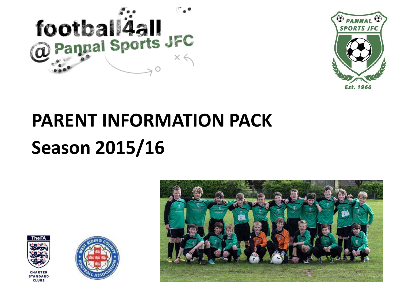



# **PARENT INFORMATION PACK Season 2015/16**





**CLUBS** 

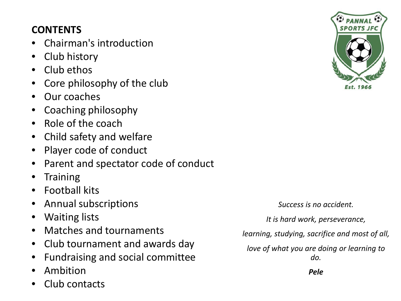# **CONTENTS**

- Chairman's introduction
- Club history
- Club ethos
- Core philosophy of the club
- Our coaches
- Coaching philosophy
- Role of the coach
- Child safety and welfare
- Player code of conduct
- Parent and spectator code of conduct
- **Training**
- Football kits
- Annual subscriptions
- Waiting lists
- Matches and tournaments
- Club tournament and awards day
- Fundraising and social committee
- Ambition
- Club contacts



*Success is no accident.*

*It is hard work, perseverance,*

*learning, studying, sacrifice and most of all,*

*love of what you are doing or learning to do.*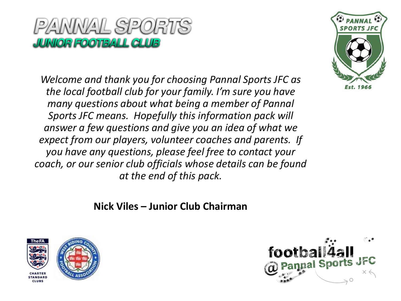

*Welcome and thank you for choosing Pannal Sports JFC as the local football club for your family. I'm sure you have many questions about what being a member of Pannal Sports JFC means. Hopefully this information pack will answer a few questions and give you an idea of what we expect from our players, volunteer coaches and parents. If you have any questions, please feel free to contact your coach, or our senior club officials whose details can be found at the end of this pack.*



**Nick Viles – Junior Club Chairman**



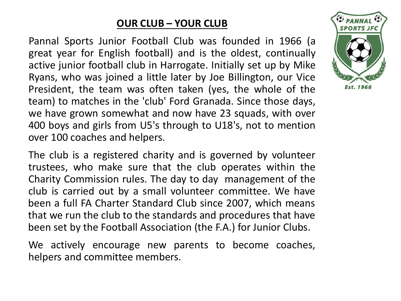#### **OUR CLUB – YOUR CLUB**

Pannal Sports Junior Football Club was founded in 1966 (a great year for English football) and is the oldest, continually active junior football club in Harrogate. Initially set up by Mike Ryans, who was joined a little later by Joe Billington, our Vice President, the team was often taken (yes, the whole of the team) to matches in the 'club' Ford Granada. Since those days, we have grown somewhat and now have 23 squads, with over 400 boys and girls from U5's through to U18's, not to mention over 100 coaches and helpers.

The club is a registered charity and is governed by volunteer trustees, who make sure that the club operates within the Charity Commission rules. The day to day management of the club is carried out by a small volunteer committee. We have been a full FA Charter Standard Club since 2007, which means that we run the club to the standards and procedures that have been set by the Football Association (the F.A.) for Junior Clubs.

We actively encourage new parents to become coaches, helpers and committee members.

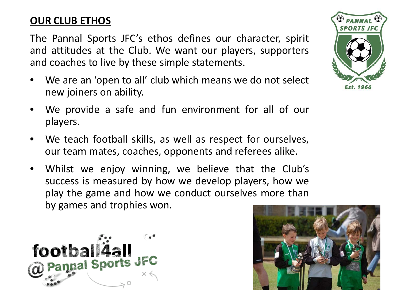# **OUR CLUB ETHOS**

The Pannal Sports JFC's ethos defines our character, spirit and attitudes at the Club. We want our players, supporters and coaches to live by these simple statements.

- We are an 'open to all' club which means we do not select new joiners on ability.
- We provide a safe and fun environment for all of our players.
- We teach football skills, as well as respect for ourselves, our team mates, coaches, opponents and referees alike.
- Whilst we enjoy winning, we believe that the Club's success is measured by how we develop players, how we play the game and how we conduct ourselves more than by games and trophies won.





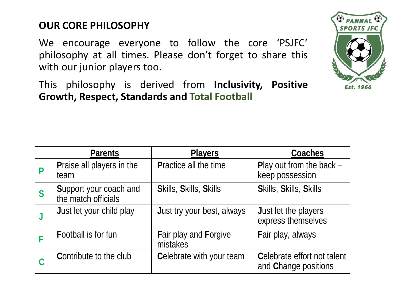# **OUR CORE PHILOSOPHY**

We encourage everyone to follow the core 'PSJFC' philosophy at all times. Please don't forget to share this with our junior players too.

This philosophy is derived from **Inclusivity, Positive Growth, Respect, Standards and Total Football**

|   | <b>Parents</b>                                | <b>Players</b>                           | <b>Coaches</b>                                      |
|---|-----------------------------------------------|------------------------------------------|-----------------------------------------------------|
|   | <b>Praise all players in the</b><br>team      | <b>Practice all the time</b>             | Play out from the back $-$<br>keep possession       |
| S | Support your coach and<br>the match officials | <b>Skills, Skills, Skills</b>            | <b>Skills, Skills, Skills</b>                       |
| J | Just let your child play                      | <b>Just try your best, always</b>        | <b>Just let the players</b><br>express themselves   |
|   | <b>Football is for fun</b>                    | <b>Fair play and Forgive</b><br>mistakes | Fair play, always                                   |
| C | <b>Contribute to the club</b>                 | Celebrate with your team                 | Celebrate effort not talent<br>and Change positions |

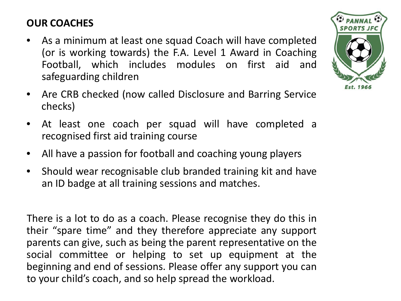# **OUR COACHES**

- As a minimum at least one squad Coach will have completed (or is working towards) the F.A. Level 1 Award in Coaching Football, which includes modules on first aid and safeguarding children
- Are CRB checked (now called Disclosure and Barring Service checks)
- At least one coach per squad will have completed a recognised first aid training course
- All have a passion for football and coaching young players
- Should wear recognisable club branded training kit and have an ID badge at all training sessions and matches.

There is a lot to do as a coach. Please recognise they do this in their "spare time" and they therefore appreciate any support parents can give, such as being the parent representative on the social committee or helping to set up equipment at the beginning and end of sessions. Please offer any support you can to your child's coach, and so help spread the workload.

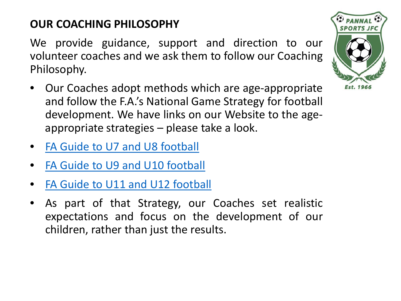# **OUR COACHING PHILOSOPHY**

We provide guidance, support and direction to our volunteer coaches and we ask them to follow our Coaching Philosophy.

- Our Coaches adopt methods which are age-appropriate and follow the F.A.'s National Game Strategy for football development. We have links on our Website to the ageappropriate strategies – please take a look.
- FA Guide to U7 and U8 [football](http://www.google.co.uk/url?url=http://www.thefa.com/~/media/my-football-resources/youth-dev-review/u7-and-u8-ydr-booklet.ashx&rct=j&frm=1&q=&esrc=s&sa=U&ved=0CBQQFjAAahUKEwij1oyN4rPHAhVBgtsKHbiRAW0&usg=AFQjCNH2jBcyx4doUXrwkJtVADbXmwBtjA)
- FA Guide to U9 and U10 [football](http://www.google.co.uk/url?url=http://www.thefa.com/~/media/my-football-resources/youth-dev-review/u9-and-u10-ydr-booklet.ashx&rct=j&frm=1&q=&esrc=s&sa=U&ved=0CBQQFjAAahUKEwiBm5u047PHAhXkbtsKHRt5B3o&usg=AFQjCNEdsN1FZNcmOTuYRQF0GEBj4-XjzA)
- FA Guide to U11 and U12 [football](http://www.google.co.uk/url?url=http://www.thefa.com/~/media/my-football-resources/youth-dev-review/u11-and-u12-ydr-booklet.ashx&rct=j&frm=1&q=&esrc=s&sa=U&ved=0CBQQFjAAahUKEwiDh6bu47PHAhXrmdsKHTGADi8&usg=AFQjCNEbit4bmUhnnopFXLBcdaEfkix4BA)
- As part of that Strategy, our Coaches set realistic expectations and focus on the development of our children, rather than just the results.

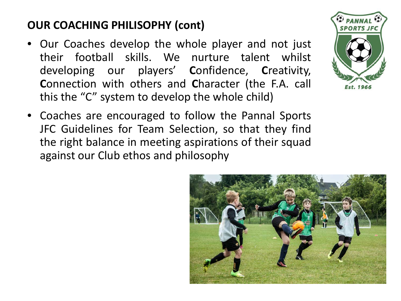# **OUR COACHING PHILISOPHY (cont)**

- Our Coaches develop the whole player and not just their football skills. We nurture talent whilst developing our players' **C**onfidence, **C**reativity, **C**onnection with others and **C**haracter (the F.A. call this the "C" system to develop the whole child)
- Coaches are encouraged to follow the Pannal Sports JFC Guidelines for Team Selection, so that they find the right balance in meeting aspirations of their squad against our Club ethos and philosophy



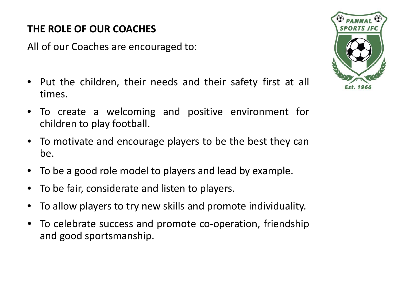# **THE ROLE OF OUR COACHES**

All of our Coaches are encouraged to:

- Put the children, their needs and their safety first at all times.
- To create a welcoming and positive environment for children to play football.
- To motivate and encourage players to be the best they can be.
- To be a good role model to players and lead by example.
- To be fair, considerate and listen to players.
- To allow players to try new skills and promote individuality.
- To celebrate success and promote co-operation, friendship and good sportsmanship.

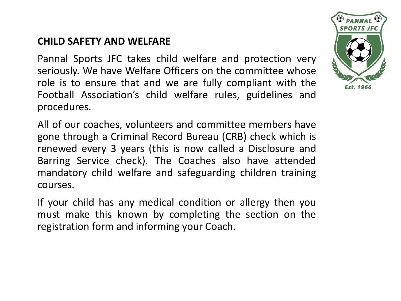#### **CHILD SAFETY AND WELFARE**

Pannal Sports JFC takes child welfare and protection very seriously. We have Welfare Officers on the committee whose role is to ensure that and we are fully compliant with the Football Association's child welfare rules, guidelines and procedures.

All of our coaches, volunteers and committee members have gone through a Criminal Record Bureau (CRB) check which is renewed every 3 years (this is now called a Disclosure and Barring Service check). The Coaches also have attended mandatory child welfare and safeguarding children training courses.

If your child has any medical condition or allergy then you must make this known by completing the section on the registration form and informing your Coach.

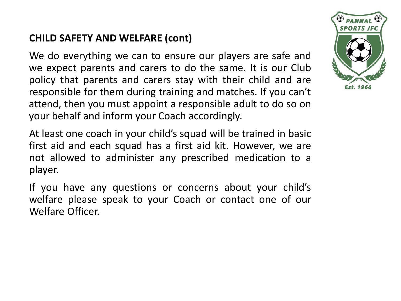# **CHILD SAFETY AND WELFARE (cont)**

We do everything we can to ensure our players are safe and we expect parents and carers to do the same. It is our Club policy that parents and carers stay with their child and are responsible for them during training and matches. If you can't attend, then you must appoint a responsible adult to do so on your behalf and inform your Coach accordingly.

At least one coach in your child's squad will be trained in basic first aid and each squad has a first aid kit. However, we are not allowed to administer any prescribed medication to a player.

If you have any questions or concerns about your child's welfare please speak to your Coach or contact one of our Welfare Officer.

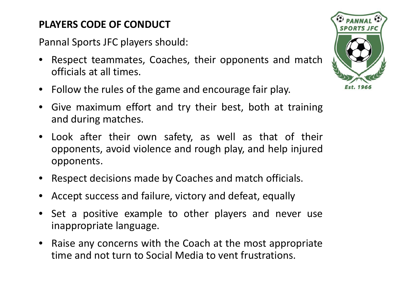# **PLAYERS CODE OF CONDUCT**

Pannal Sports JFC players should:

- Respect teammates, Coaches, their opponents and match officials at all times.
- Follow the rules of the game and encourage fair play.
- Give maximum effort and try their best, both at training and during matches.
- Look after their own safety, as well as that of their opponents, avoid violence and rough play, and help injured opponents.
- Respect decisions made by Coaches and match officials.
- Accept success and failure, victory and defeat, equally
- Set a positive example to other players and never use inappropriate language.
- Raise any concerns with the Coach at the most appropriate time and not turn to Social Media to vent frustrations.

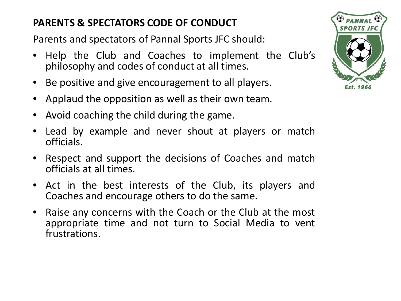# **PARENTS & SPECTATORS CODE OF CONDUCT**

Parents and spectators of Pannal Sports JFC should:

- Help the Club and Coaches to implement the Club's philosophy and codes of conduct at all times.
- Be positive and give encouragement to all players.
- Applaud the opposition as well as their own team.
- Avoid coaching the child during the game.
- Lead by example and never shout at players or match officials.
- Respect and support the decisions of Coaches and match officials at all times.
- Act in the best interests of the Club, its players and Coaches and encourage others to do the same.
- Raise any concerns with the Coach or the Club at the most appropriate time and not turn to Social Media to vent frustrations.

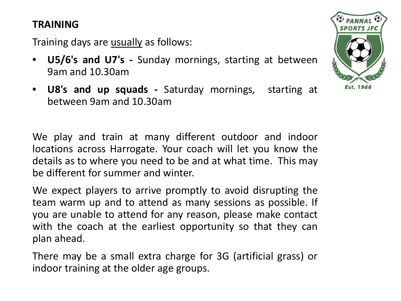#### **TRAINING**

Training days are usually as follows:

- **U5/6's and U7's -** Sunday mornings, starting at between 9am and 10.30am
- **U8's and up squads -** Saturday mornings, starting at between 9am and 10.30am

We play and train at many different outdoor and indoor locations across Harrogate. Your coach will let you know the details as to where you need to be and at what time. This may be different for summer and winter.

We expect players to arrive promptly to avoid disrupting the team warm up and to attend as many sessions as possible. If you are unable to attend for any reason, please make contact with the coach at the earliest opportunity so that they can plan ahead.

There may be a small extra charge for 3G (artificial grass) or indoor training at the older age groups.

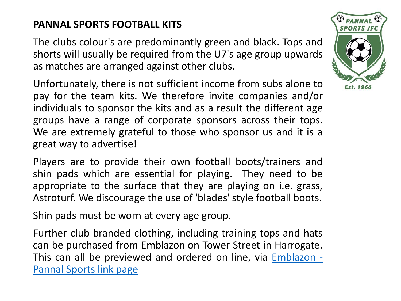# **PANNAL SPORTS FOOTBALL KITS**

The clubs colour's are predominantly green and black. Tops and shorts will usually be required from the U7's age group upwards as matches are arranged against other clubs.

Unfortunately, there is not sufficient income from subs alone to pay for the team kits. We therefore invite companies and/or individuals to sponsor the kits and as a result the different age groups have a range of corporate sponsors across their tops. We are extremely grateful to those who sponsor us and it is a great way to advertise!

Players are to provide their own football boots/trainers and shin pads which are essential for playing. They need to be appropriate to the surface that they are playing on i.e. grass, Astroturf. We discourage the use of 'blades' style football boots.

Shin pads must be worn at every age group.

Further club branded clothing, including training tops and hats can be purchased from Emblazon on Tower Street in Harrogate. This can all be previewed and ordered on line, via [Emblazon](http://www.emblazon.biz/index.php?option=com_virtuemart&page=shop.browse&category_id=31&Itemid=100002) - [Pannal](http://www.emblazon.biz/index.php?option=com_virtuemart&page=shop.browse&category_id=31&Itemid=100002) Sports link page

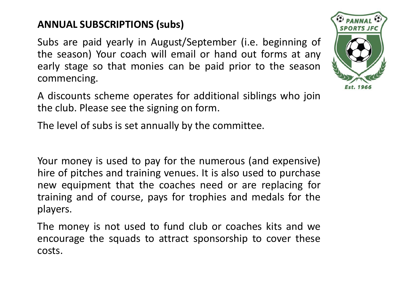# **ANNUAL SUBSCRIPTIONS (subs)**

Subs are paid yearly in August/September (i.e. beginning of the season) Your coach will email or hand out forms at any early stage so that monies can be paid prior to the season commencing.

A discounts scheme operates for additional siblings who join the club. Please see the signing on form.

The level of subs is set annually by the committee.

Your money is used to pay for the numerous (and expensive) hire of pitches and training venues. It is also used to purchase new equipment that the coaches need or are replacing for training and of course, pays for trophies and medals for the players.

The money is not used to fund club or coaches kits and we encourage the squads to attract sponsorship to cover these costs.

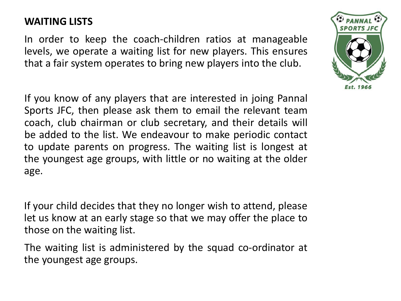#### **WAITING LISTS**

In order to keep the coach-children ratios at manageable levels, we operate a waiting list for new players. This ensures that a fair system operates to bring new players into the club.

If you know of any players that are interested in joing Pannal Sports JFC, then please ask them to email the relevant team coach, club chairman or club secretary, and their details will be added to the list. We endeavour to make periodic contact to update parents on progress. The waiting list is longest at the youngest age groups, with little or no waiting at the older age.

If your child decides that they no longer wish to attend, please let us know at an early stage so that we may offer the place to those on the waiting list.

The waiting list is administered by the squad co-ordinator at the youngest age groups.

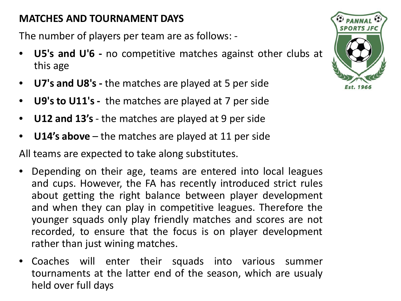# **MATCHES AND TOURNAMENT DAYS**

The number of players per team are as follows: -

- **U5's and U'6 -** no competitive matches against other clubs at this age
- **U7's and U8's -** the matches are played at 5 per side
- **U9's to U11's -** the matches are played at 7 per side
- **U12 and 13's** the matches are played at 9 per side
- **U14's above** the matches are played at 11 per side

All teams are expected to take along substitutes.

- Depending on their age, teams are entered into local leagues and cups. However, the FA has recently introduced strict rules about getting the right balance between player development and when they can play in competitive leagues. Therefore the younger squads only play friendly matches and scores are not recorded, to ensure that the focus is on player development rather than just wining matches.
- Coaches will enter their squads into various summer tournaments at the latter end of the season, which are usualy held over full days

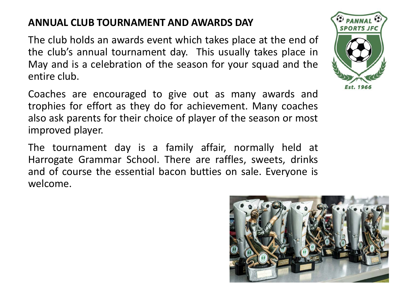#### **ANNUAL CLUB TOURNAMENT AND AWARDS DAY**

The club holds an awards event which takes place at the end of the club's annual tournament day. This usually takes place in May and is a celebration of the season for your squad and the entire club.

Coaches are encouraged to give out as many awards and trophies for effort as they do for achievement. Many coaches also ask parents for their choice of player of the season or most improved player.

The tournament day is a family affair, normally held at Harrogate Grammar School. There are raffles, sweets, drinks and of course the essential bacon butties on sale. Everyone is welcome.



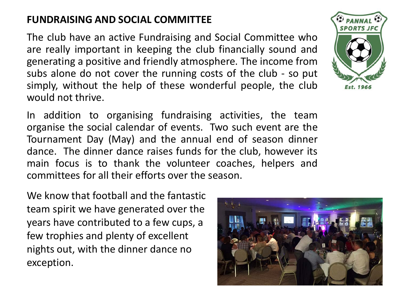## **FUNDRAISING AND SOCIAL COMMITTEE**

The club have an active Fundraising and Social Committee who are really important in keeping the club financially sound and generating a positive and friendly atmosphere. The income from subs alone do not cover the running costs of the club - so put simply, without the help of these wonderful people, the club would not thrive.

In addition to organising fundraising activities, the team organise the social calendar of events. Two such event are the Tournament Day (May) and the annual end of season dinner dance. The dinner dance raises funds for the club, however its main focus is to thank the volunteer coaches, helpers and committees for all their efforts over the season.

We know that football and the fantastic team spirit we have generated over the years have contributed to a few cups, a few trophies and plenty of excellent nights out, with the dinner dance no exception.



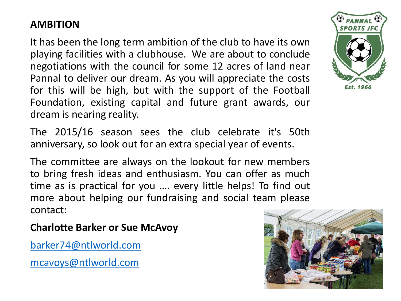# **AMBITION**

It has been the long term ambition of the club to have its own playing facilities with a clubhouse. We are about to conclude negotiations with the council for some 12 acres of land near Pannal to deliver our dream. As you will appreciate the costs for this will be high, but with the support of the Football Foundation, existing capital and future grant awards, our dream is nearing reality.

The 2015/16 season sees the club celebrate it's 50th anniversary, so look out for an extra special year of events.

The committee are always on the lookout for new members to bring fresh ideas and enthusiasm. You can offer as much time as is practical for you …. every little helps! To find out more about helping our fundraising and social team please contact:

**Charlotte Barker or Sue McAvoy**

[barker74@ntlworld.com](mailto:barker74@ntlworld.com)

[mcavoys@ntlworld.com](mailto:mcavoys@ntlworld.com)



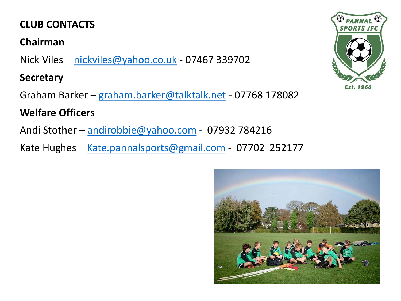# **CLUB CONTACTS**

#### **Chairman**

Nick Viles – [nickviles@yahoo.co.uk](mailto:nickviles@yahoo.co.uk) - 07467 339702

#### **Secretary**

Graham Barker – [graham.barker@talktalk.net](mailto:graham.barker@talktalk.net) - 07768 178082

# **Welfare Officer**s

Andi Stother – [andirobbie@yahoo.com](mailto:andirobbie@yahoo.com) - 07932 784216

Kate Hughes - [Kate.pannalsports@gmail.com](mailto:Kate.pannalsports@gmail.com) - 07702 252177